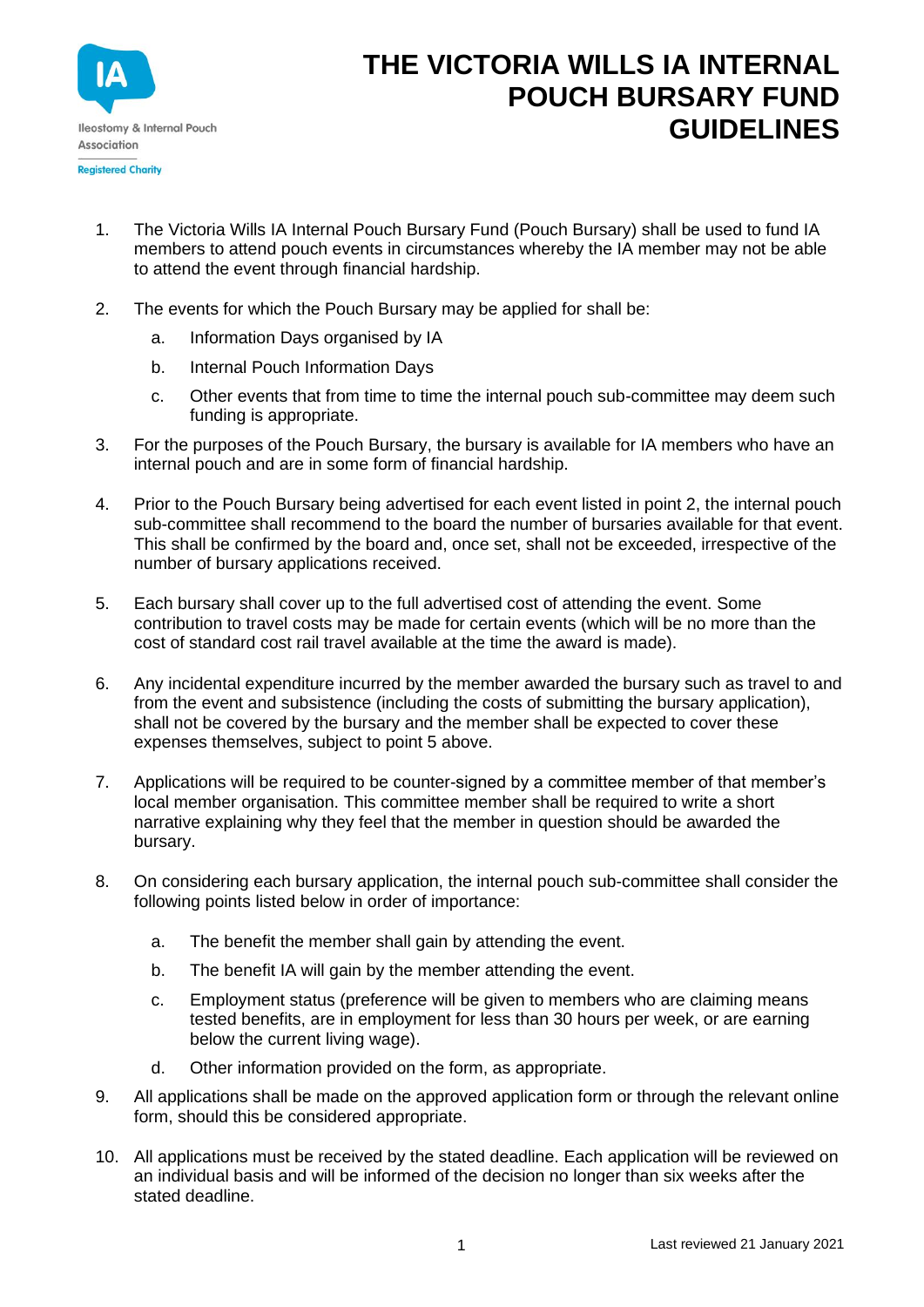

## **THE VICTORIA WILLS IA INTERNAL POUCH BURSARY FUND GUIDELINES**

- 1. The Victoria Wills IA Internal Pouch Bursary Fund (Pouch Bursary) shall be used to fund IA members to attend pouch events in circumstances whereby the IA member may not be able to attend the event through financial hardship.
- 2. The events for which the Pouch Bursary may be applied for shall be:
	- a. Information Days organised by IA
	- b. Internal Pouch Information Days
	- c. Other events that from time to time the internal pouch sub-committee may deem such funding is appropriate.
- 3. For the purposes of the Pouch Bursary, the bursary is available for IA members who have an internal pouch and are in some form of financial hardship.
- 4. Prior to the Pouch Bursary being advertised for each event listed in point 2, the internal pouch sub-committee shall recommend to the board the number of bursaries available for that event. This shall be confirmed by the board and, once set, shall not be exceeded, irrespective of the number of bursary applications received.
- 5. Each bursary shall cover up to the full advertised cost of attending the event. Some contribution to travel costs may be made for certain events (which will be no more than the cost of standard cost rail travel available at the time the award is made).
- 6. Any incidental expenditure incurred by the member awarded the bursary such as travel to and from the event and subsistence (including the costs of submitting the bursary application), shall not be covered by the bursary and the member shall be expected to cover these expenses themselves, subject to point 5 above.
- 7. Applications will be required to be counter-signed by a committee member of that member's local member organisation. This committee member shall be required to write a short narrative explaining why they feel that the member in question should be awarded the bursary.
- 8. On considering each bursary application, the internal pouch sub-committee shall consider the following points listed below in order of importance:
	- a. The benefit the member shall gain by attending the event.
	- b. The benefit IA will gain by the member attending the event.
	- c. Employment status (preference will be given to members who are claiming means tested benefits, are in employment for less than 30 hours per week, or are earning below the current living wage).
	- d. Other information provided on the form, as appropriate.
- 9. All applications shall be made on the approved application form or through the relevant online form, should this be considered appropriate.
- 10. All applications must be received by the stated deadline. Each application will be reviewed on an individual basis and will be informed of the decision no longer than six weeks after the stated deadline.